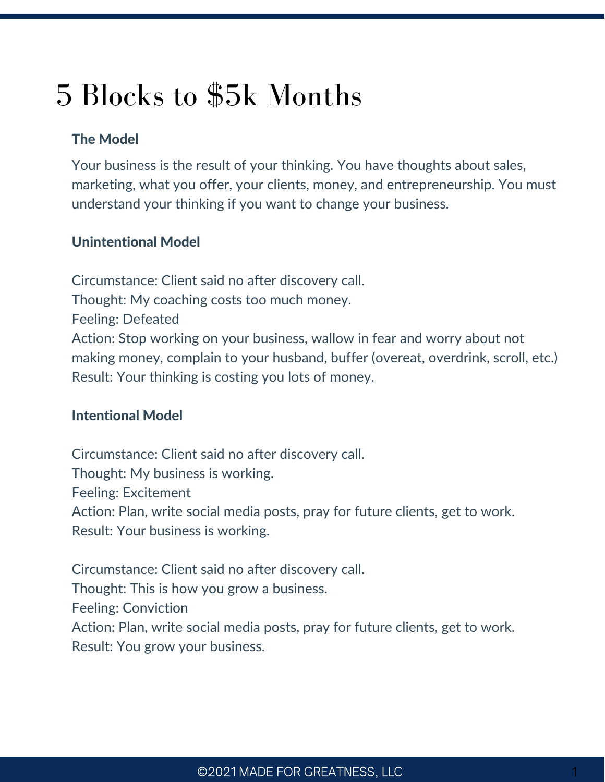# 5 Blocks to \$5k Months

## The Model

Your business is the result of your thinking. You have thoughts about sales, marketing, what you offer, your clients, money, and entrepreneurship. You must understand your thinking if you want to change your business.

### Unintentional Model

Circumstance: Client said no after discovery call. Thought: My coaching costs too much money. Feeling: Defeated Action: Stop working on your business, wallow in fear and worry about not making money, complain to your husband, buffer (overeat, overdrink, scroll, etc.) Result: Your thinking is costing you lots of money.

#### Intentional Model

Circumstance: Client said no after discovery call. Thought: My business is working. Feeling: Excitement Action: Plan, write social media posts, pray for future clients, get to work. Result: Your business is working.

Circumstance: Client said no after discovery call. Thought: This is how you grow a business. Feeling: Conviction Action: Plan, write social media posts, pray for future clients, get to work. Result: You grow your business.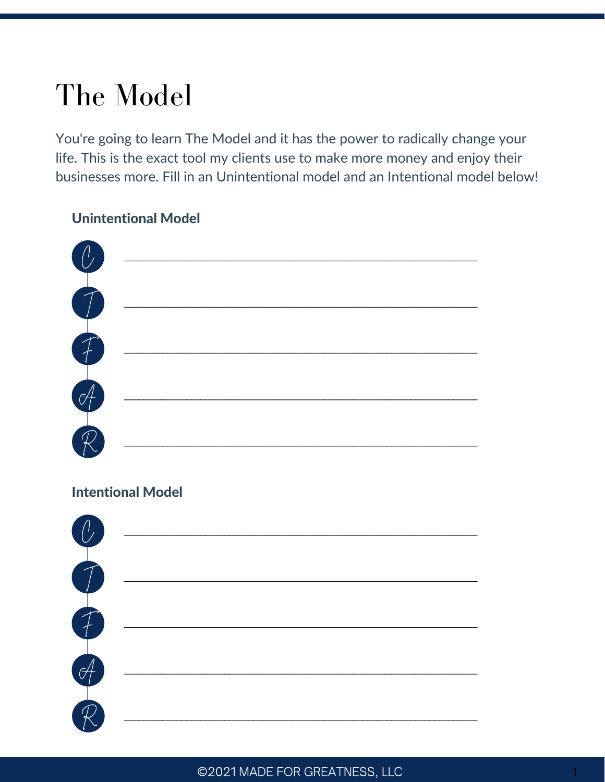# The Model

You're going to learn The Model and it has the power to radically change your life. This is the exact tool my clients use to make more money and enjoy their businesses more. Fill in an Unintentional model and an Intentional model below!

## **Unintentional Model**

| $\begin{pmatrix} 0 \end{pmatrix}$ |  |
|-----------------------------------|--|
|                                   |  |
| T<br>T<br>T<br>T                  |  |
|                                   |  |
|                                   |  |

## **Intentional Model**

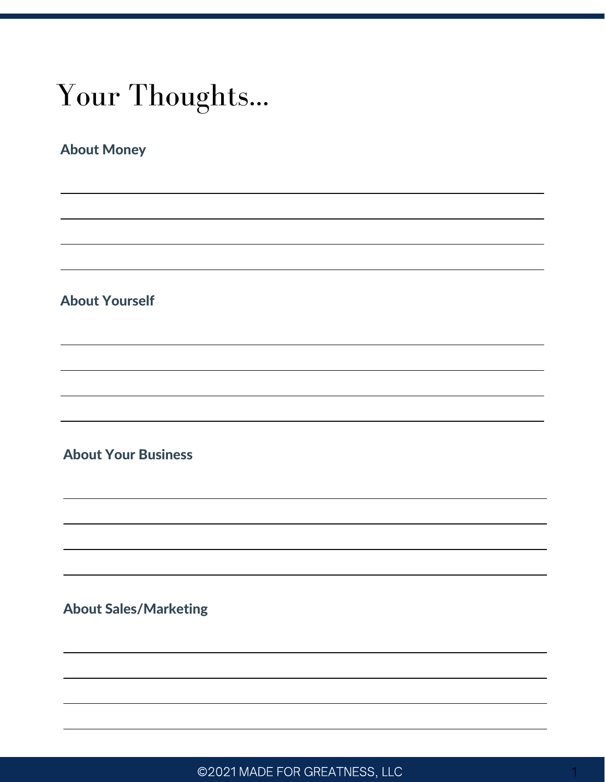# Your Thoughts...

## About Money

### About Yourself

## About Your Business

### About Sales/Marketing